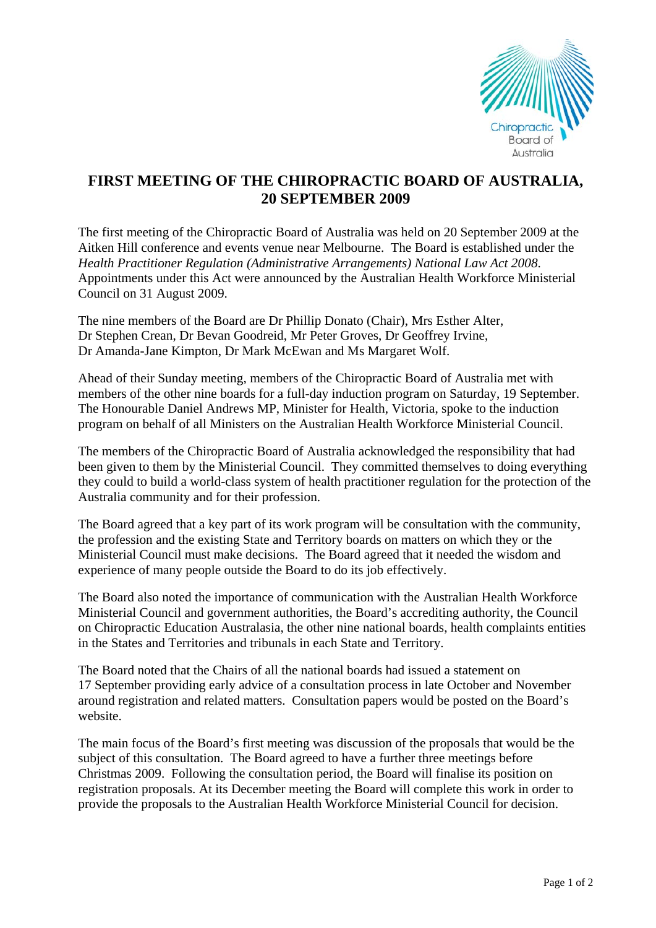

## **FIRST MEETING OF THE CHIROPRACTIC BOARD OF AUSTRALIA, 20 SEPTEMBER 2009**

The first meeting of the Chiropractic Board of Australia was held on 20 September 2009 at the Aitken Hill conference and events venue near Melbourne. The Board is established under the *Health Practitioner Regulation (Administrative Arrangements) National Law Act 2008*. Appointments under this Act were announced by the Australian Health Workforce Ministerial Council on 31 August 2009.

The nine members of the Board are Dr Phillip Donato (Chair), Mrs Esther Alter, Dr Stephen Crean, Dr Bevan Goodreid, Mr Peter Groves, Dr Geoffrey Irvine, Dr Amanda-Jane Kimpton, Dr Mark McEwan and Ms Margaret Wolf.

Ahead of their Sunday meeting, members of the Chiropractic Board of Australia met with members of the other nine boards for a full-day induction program on Saturday, 19 September. The Honourable Daniel Andrews MP, Minister for Health, Victoria, spoke to the induction program on behalf of all Ministers on the Australian Health Workforce Ministerial Council.

The members of the Chiropractic Board of Australia acknowledged the responsibility that had been given to them by the Ministerial Council. They committed themselves to doing everything they could to build a world-class system of health practitioner regulation for the protection of the Australia community and for their profession.

The Board agreed that a key part of its work program will be consultation with the community, the profession and the existing State and Territory boards on matters on which they or the Ministerial Council must make decisions. The Board agreed that it needed the wisdom and experience of many people outside the Board to do its job effectively.

The Board also noted the importance of communication with the Australian Health Workforce Ministerial Council and government authorities, the Board's accrediting authority, the Council on Chiropractic Education Australasia, the other nine national boards, health complaints entities in the States and Territories and tribunals in each State and Territory.

The Board noted that the Chairs of all the national boards had issued a statement on 17 September providing early advice of a consultation process in late October and November around registration and related matters. Consultation papers would be posted on the Board's website.

The main focus of the Board's first meeting was discussion of the proposals that would be the subject of this consultation. The Board agreed to have a further three meetings before Christmas 2009. Following the consultation period, the Board will finalise its position on registration proposals. At its December meeting the Board will complete this work in order to provide the proposals to the Australian Health Workforce Ministerial Council for decision.